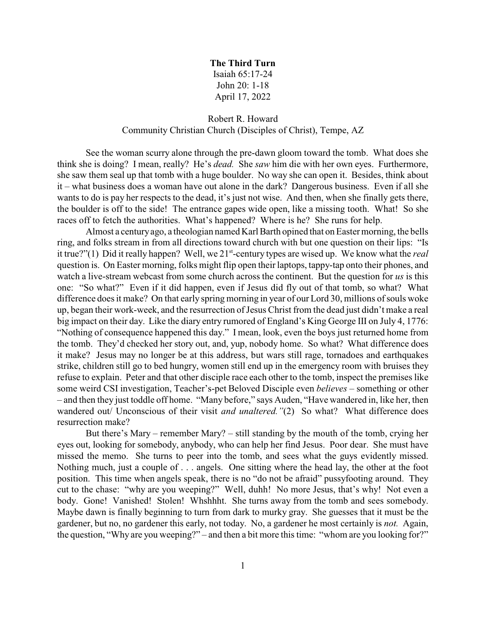## **The Third Turn**

Isaiah 65:17-24 John 20: 1-18 April 17, 2022

## Robert R. Howard Community Christian Church (Disciples of Christ), Tempe, AZ

See the woman scurry alone through the pre-dawn gloom toward the tomb. What does she think she is doing? I mean, really? He's *dead.* She *saw* him die with her own eyes. Furthermore, she saw them seal up that tomb with a huge boulder. No way she can open it. Besides, think about it – what business does a woman have out alone in the dark? Dangerous business. Even if all she wants to do is pay her respects to the dead, it's just not wise. And then, when she finally gets there, the boulder is off to the side! The entrance gapes wide open, like a missing tooth. What! So she races off to fetch the authorities. What's happened? Where is he? She runs for help.

Almost a centuryago, a theologian named Karl Barth opined that on Easter morning, the bells ring, and folks stream in from all directions toward church with but one question on their lips: "Is it true?"(1) Did it really happen? Well, we 21<sup>st</sup>-century types are wised up. We know what the *real* question is. On Easter morning, folks might flip open their laptops, tappy-tap onto their phones, and watch a live-stream webcast from some church across the continent. But the question for *us* is this one: "So what?" Even if it did happen, even if Jesus did fly out of that tomb, so what? What difference does it make? On that early spring morning in year of our Lord 30, millions of souls woke up, began their work-week, and the resurrection of Jesus Christ from the dead just didn't make a real big impact on their day. Like the diary entry rumored of England's King George III on July 4, 1776: "Nothing of consequence happened this day." I mean, look, even the boys just returned home from the tomb. They'd checked her story out, and, yup, nobody home. So what? What difference does it make? Jesus may no longer be at this address, but wars still rage, tornadoes and earthquakes strike, children still go to bed hungry, women still end up in the emergency room with bruises they refuse to explain. Peter and that other disciple race each other to the tomb, inspect the premises like some weird CSI investigation, Teacher's-pet Beloved Disciple even *believes* – something or other – and then they just toddle off home. "Many before," says Auden, "Have wandered in, like her, then wandered out/ Unconscious of their visit *and unaltered."*(2) So what? What difference does resurrection make?

But there's Mary – remember Mary? – still standing by the mouth of the tomb, crying her eyes out, looking for somebody, anybody, who can help her find Jesus. Poor dear. She must have missed the memo. She turns to peer into the tomb, and sees what the guys evidently missed. Nothing much, just a couple of . . . angels. One sitting where the head lay, the other at the foot position. This time when angels speak, there is no "do not be afraid" pussyfooting around. They cut to the chase: "why are you weeping?" Well, duhh! No more Jesus, that's why! Not even a body. Gone! Vanished! Stolen! Whshhht. She turns away from the tomb and sees somebody. Maybe dawn is finally beginning to turn from dark to murky gray. She guesses that it must be the gardener, but no, no gardener this early, not today. No, a gardener he most certainly is *not.* Again, the question, "Why are you weeping?" – and then a bit more this time: "whom are you looking for?"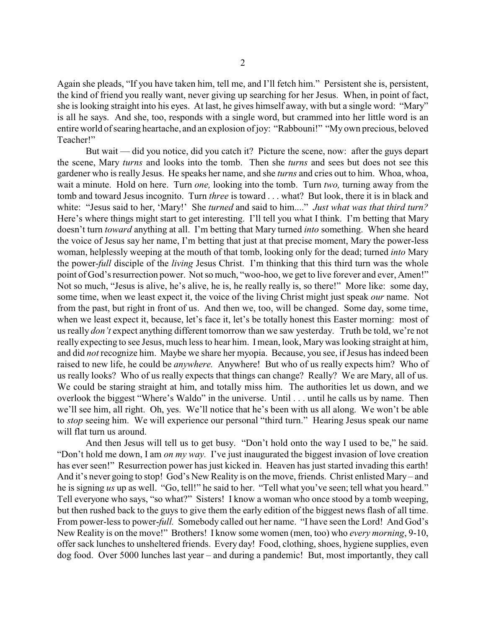Again she pleads, "If you have taken him, tell me, and I'll fetch him." Persistent she is, persistent, the kind of friend you really want, never giving up searching for her Jesus. When, in point of fact, she is looking straight into his eyes. At last, he gives himself away, with but a single word: "Mary" is all he says. And she, too, responds with a single word, but crammed into her little word is an entire world of searing heartache, and an explosion of joy: "Rabbouni!" "My own precious, beloved Teacher!"

But wait — did you notice, did you catch it? Picture the scene, now: after the guys depart the scene, Mary *turns* and looks into the tomb. Then she *turns* and sees but does not see this gardener who is really Jesus. He speaks her name, and she *turns* and cries out to him. Whoa, whoa, wait a minute. Hold on here. Turn *one,* looking into the tomb. Turn *two,* turning away from the tomb and toward Jesus incognito. Turn *three* is toward . . . what? But look, there it is in black and white: "Jesus said to her, 'Mary!' She *turned* and said to him...." *Just what was that third turn?* Here's where things might start to get interesting. I'll tell you what I think. I'm betting that Mary doesn't turn *toward* anything at all. I'm betting that Mary turned *into* something. When she heard the voice of Jesus say her name, I'm betting that just at that precise moment, Mary the power-less woman, helplessly weeping at the mouth of that tomb, looking only for the dead; turned *into* Mary the power-*full* disciple of the *living* Jesus Christ. I'm thinking that this third turn was the whole point of God's resurrection power. Not so much, "woo-hoo, we get to live forever and ever, Amen!" Not so much, "Jesus is alive, he's alive, he is, he really really is, so there!" More like: some day, some time, when we least expect it, the voice of the living Christ might just speak *our* name. Not from the past, but right in front of us. And then we, too, will be changed. Some day, some time, when we least expect it, because, let's face it, let's be totally honest this Easter morning: most of us really *don't* expect anything different tomorrow than we saw yesterday. Truth be told, we're not really expecting to see Jesus, much less to hear him. I mean, look, Marywas looking straight at him, and did *not* recognize him. Maybe we share her myopia. Because, you see, if Jesus has indeed been raised to new life, he could be *anywhere.* Anywhere! But who of us really expects him? Who of us really looks? Who of us really expects that things can change? Really? We are Mary, all of us. We could be staring straight at him, and totally miss him. The authorities let us down, and we overlook the biggest "Where's Waldo" in the universe. Until . . . until he calls us by name. Then we'll see him, all right. Oh, yes. We'll notice that he's been with us all along. We won't be able to *stop* seeing him. We will experience our personal "third turn." Hearing Jesus speak our name will flat turn us around.

And then Jesus will tell us to get busy. "Don't hold onto the way I used to be," he said. "Don't hold me down, I am *on my way.* I've just inaugurated the biggest invasion of love creation has ever seen!" Resurrection power has just kicked in. Heaven has just started invading this earth! And it's never going to stop! God's New Reality is on the move, friends. Christ enlisted Mary – and he is signing *us* up as well. "Go, tell!" he said to her. "Tell what you've seen; tell what you heard." Tell everyone who says, "so what?" Sisters! I know a woman who once stood by a tomb weeping, but then rushed back to the guys to give them the early edition of the biggest news flash of all time. From power-less to power-*full.* Somebody called out her name. "I have seen the Lord! And God's New Reality is on the move!" Brothers! I know some women (men, too) who *every morning*, 9-10, offer sack lunches to unsheltered friends. Every day! Food, clothing, shoes, hygiene supplies, even dog food. Over 5000 lunches last year – and during a pandemic! But, most importantly, they call